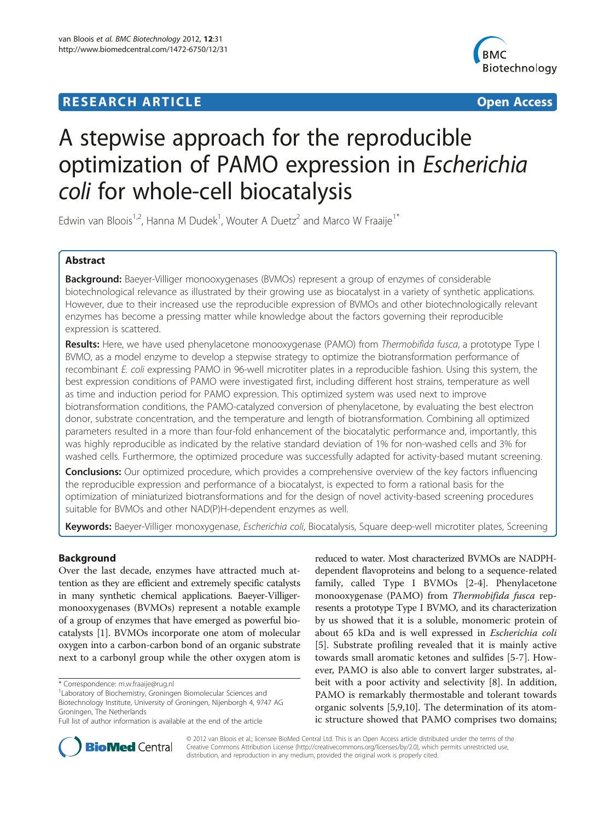# **RESEARCH ARTICLE Example 2014 12:30 The Contract of Contract Contract Contract Contract Contract Contract Contract Contract Contract Contract Contract Contract Contract Contract Contract Contract Contract Contract Contr**



# A stepwise approach for the reproducible optimization of PAMO expression in Escherichia coli for whole-cell biocatalysis

Edwin van Bloois<sup>1,2</sup>, Hanna M Dudek<sup>1</sup>, Wouter A Duetz<sup>2</sup> and Marco W Fraaije<sup>1\*</sup>

# Abstract

Background: Baeyer-Villiger monooxygenases (BVMOs) represent a group of enzymes of considerable biotechnological relevance as illustrated by their growing use as biocatalyst in a variety of synthetic applications. However, due to their increased use the reproducible expression of BVMOs and other biotechnologically relevant enzymes has become a pressing matter while knowledge about the factors governing their reproducible expression is scattered.

Results: Here, we have used phenylacetone monooxygenase (PAMO) from Thermobifida fusca, a prototype Type I BVMO, as a model enzyme to develop a stepwise strategy to optimize the biotransformation performance of recombinant E. coli expressing PAMO in 96-well microtiter plates in a reproducible fashion. Using this system, the best expression conditions of PAMO were investigated first, including different host strains, temperature as well as time and induction period for PAMO expression. This optimized system was used next to improve biotransformation conditions, the PAMO-catalyzed conversion of phenylacetone, by evaluating the best electron donor, substrate concentration, and the temperature and length of biotransformation. Combining all optimized parameters resulted in a more than four-fold enhancement of the biocatalytic performance and, importantly, this was highly reproducible as indicated by the relative standard deviation of 1% for non-washed cells and 3% for washed cells. Furthermore, the optimized procedure was successfully adapted for activity-based mutant screening.

**Conclusions:** Our optimized procedure, which provides a comprehensive overview of the key factors influencing the reproducible expression and performance of a biocatalyst, is expected to form a rational basis for the optimization of miniaturized biotransformations and for the design of novel activity-based screening procedures suitable for BVMOs and other NAD(P)H-dependent enzymes as well.

Keywords: Baeyer-Villiger monoxygenase, Escherichia coli, Biocatalysis, Square deep-well microtiter plates, Screening

# Background

Over the last decade, enzymes have attracted much attention as they are efficient and extremely specific catalysts in many synthetic chemical applications. Baeyer-Villigermonooxygenases (BVMOs) represent a notable example of a group of enzymes that have emerged as powerful biocatalysts [[1\]](#page-8-0). BVMOs incorporate one atom of molecular oxygen into a carbon-carbon bond of an organic substrate next to a carbonyl group while the other oxygen atom is

\* Correspondence: [m.w.fraaije@rug.nl](mailto:m.w.fraaije@rug.nl) <sup>1</sup>

reduced to water. Most characterized BVMOs are NADPHdependent flavoproteins and belong to a sequence-related family, called Type I BVMOs [\[2](#page-8-0)-[4\]](#page-8-0). Phenylacetone monooxygenase (PAMO) from Thermobifida fusca represents a prototype Type I BVMO, and its characterization by us showed that it is a soluble, monomeric protein of about 65 kDa and is well expressed in Escherichia coli [[5\]](#page-8-0). Substrate profiling revealed that it is mainly active towards small aromatic ketones and sulfides [[5-7\]](#page-8-0). However, PAMO is also able to convert larger substrates, albeit with a poor activity and selectivity [\[8\]](#page-8-0). In addition, PAMO is remarkably thermostable and tolerant towards organic solvents [\[5,9](#page-8-0),[10](#page-8-0)]. The determination of its atomic structure showed that PAMO comprises two domains;



© 2012 van Bloois et al.; licensee BioMed Central Ltd. This is an Open Access article distributed under the terms of the Creative Commons Attribution License (<http://creativecommons.org/licenses/by/2.0>), which permits unrestricted use, distribution, and reproduction in any medium, provided the original work is properly cited.

Laboratory of Biochemistry, Groningen Biomolecular Sciences and Biotechnology Institute, University of Groningen, Nijenborgh 4, 9747 AG Groningen, The Netherlands

Full list of author information is available at the end of the article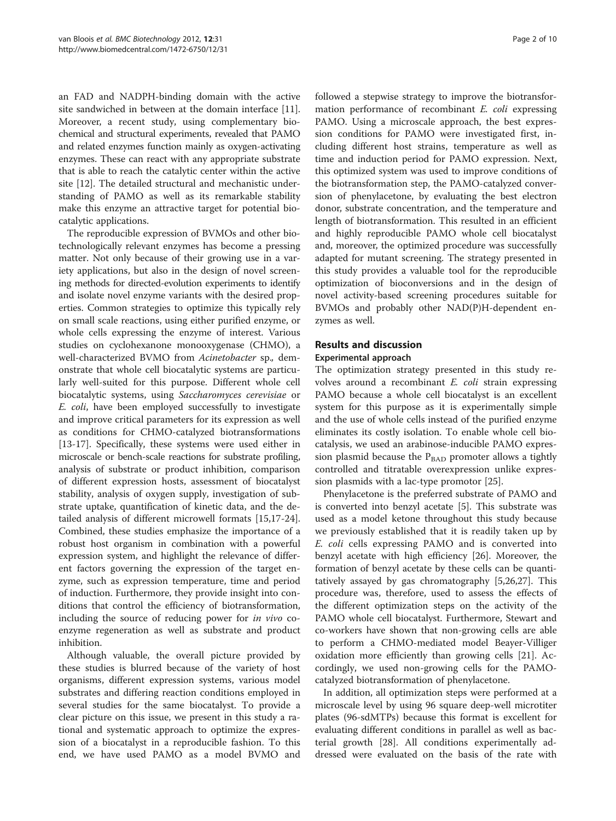an FAD and NADPH-binding domain with the active site sandwiched in between at the domain interface [\[11](#page-8-0)]. Moreover, a recent study, using complementary biochemical and structural experiments, revealed that PAMO and related enzymes function mainly as oxygen-activating enzymes. These can react with any appropriate substrate that is able to reach the catalytic center within the active site [\[12\]](#page-8-0). The detailed structural and mechanistic understanding of PAMO as well as its remarkable stability make this enzyme an attractive target for potential biocatalytic applications.

The reproducible expression of BVMOs and other biotechnologically relevant enzymes has become a pressing matter. Not only because of their growing use in a variety applications, but also in the design of novel screening methods for directed-evolution experiments to identify and isolate novel enzyme variants with the desired properties. Common strategies to optimize this typically rely on small scale reactions, using either purified enzyme, or whole cells expressing the enzyme of interest. Various studies on cyclohexanone monooxygenase (CHMO), a well-characterized BVMO from Acinetobacter sp., demonstrate that whole cell biocatalytic systems are particularly well-suited for this purpose. Different whole cell biocatalytic systems, using Saccharomyces cerevisiae or E. coli, have been employed successfully to investigate and improve critical parameters for its expression as well as conditions for CHMO-catalyzed biotransformations [[13-17](#page-8-0)]. Specifically, these systems were used either in microscale or bench-scale reactions for substrate profiling, analysis of substrate or product inhibition, comparison of different expression hosts, assessment of biocatalyst stability, analysis of oxygen supply, investigation of substrate uptake, quantification of kinetic data, and the detailed analysis of different microwell formats [\[15,17-24](#page-8-0)]. Combined, these studies emphasize the importance of a robust host organism in combination with a powerful expression system, and highlight the relevance of different factors governing the expression of the target enzyme, such as expression temperature, time and period of induction. Furthermore, they provide insight into conditions that control the efficiency of biotransformation, including the source of reducing power for in vivo coenzyme regeneration as well as substrate and product inhibition.

Although valuable, the overall picture provided by these studies is blurred because of the variety of host organisms, different expression systems, various model substrates and differing reaction conditions employed in several studies for the same biocatalyst. To provide a clear picture on this issue, we present in this study a rational and systematic approach to optimize the expression of a biocatalyst in a reproducible fashion. To this end, we have used PAMO as a model BVMO and

followed a stepwise strategy to improve the biotransformation performance of recombinant E. coli expressing PAMO. Using a microscale approach, the best expression conditions for PAMO were investigated first, including different host strains, temperature as well as time and induction period for PAMO expression. Next, this optimized system was used to improve conditions of the biotransformation step, the PAMO-catalyzed conversion of phenylacetone, by evaluating the best electron donor, substrate concentration, and the temperature and length of biotransformation. This resulted in an efficient and highly reproducible PAMO whole cell biocatalyst and, moreover, the optimized procedure was successfully adapted for mutant screening. The strategy presented in this study provides a valuable tool for the reproducible optimization of bioconversions and in the design of novel activity-based screening procedures suitable for BVMOs and probably other NAD(P)H-dependent enzymes as well.

# Results and discussion

# Experimental approach

The optimization strategy presented in this study revolves around a recombinant E. coli strain expressing PAMO because a whole cell biocatalyst is an excellent system for this purpose as it is experimentally simple and the use of whole cells instead of the purified enzyme eliminates its costly isolation. To enable whole cell biocatalysis, we used an arabinose-inducible PAMO expression plasmid because the  $P_{BAD}$  promoter allows a tightly controlled and titratable overexpression unlike expression plasmids with a lac-type promotor [[25\]](#page-8-0).

Phenylacetone is the preferred substrate of PAMO and is converted into benzyl acetate [[5\]](#page-8-0). This substrate was used as a model ketone throughout this study because we previously established that it is readily taken up by E. coli cells expressing PAMO and is converted into benzyl acetate with high efficiency [[26\]](#page-8-0). Moreover, the formation of benzyl acetate by these cells can be quantitatively assayed by gas chromatography [\[5](#page-8-0),[26](#page-8-0)[,27](#page-9-0)]. This procedure was, therefore, used to assess the effects of the different optimization steps on the activity of the PAMO whole cell biocatalyst. Furthermore, Stewart and co-workers have shown that non-growing cells are able to perform a CHMO-mediated model Beayer-Villiger oxidation more efficiently than growing cells [\[21\]](#page-8-0). Accordingly, we used non-growing cells for the PAMOcatalyzed biotransformation of phenylacetone.

In addition, all optimization steps were performed at a microscale level by using 96 square deep-well microtiter plates (96-sdMTPs) because this format is excellent for evaluating different conditions in parallel as well as bacterial growth [\[28\]](#page-9-0). All conditions experimentally addressed were evaluated on the basis of the rate with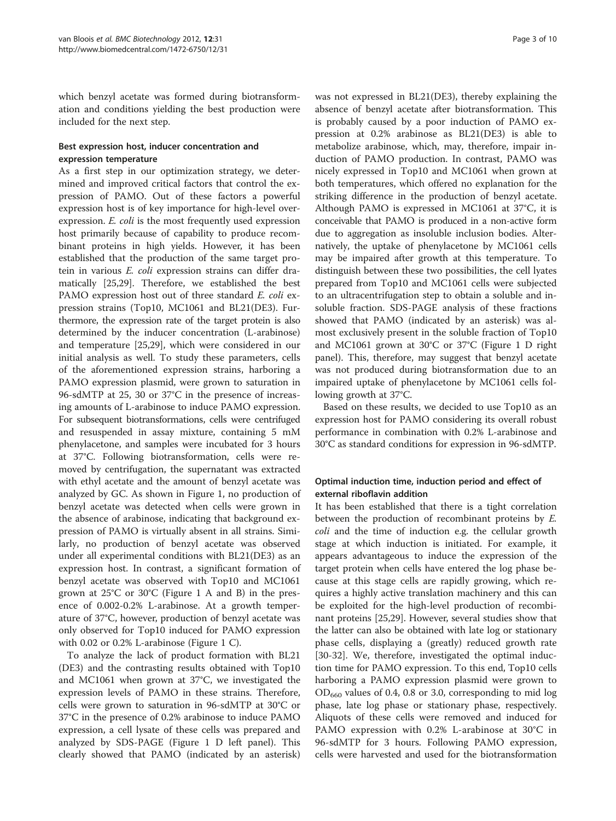which benzyl acetate was formed during biotransformation and conditions yielding the best production were included for the next step.

# Best expression host, inducer concentration and expression temperature

As a first step in our optimization strategy, we determined and improved critical factors that control the expression of PAMO. Out of these factors a powerful expression host is of key importance for high-level overexpression. E. coli is the most frequently used expression host primarily because of capability to produce recombinant proteins in high yields. However, it has been established that the production of the same target protein in various E. coli expression strains can differ dramatically [[25,](#page-8-0)[29\]](#page-9-0). Therefore, we established the best PAMO expression host out of three standard E. coli expression strains (Top10, MC1061 and BL21(DE3). Furthermore, the expression rate of the target protein is also determined by the inducer concentration (L-arabinose) and temperature [[25,](#page-8-0)[29\]](#page-9-0), which were considered in our initial analysis as well. To study these parameters, cells of the aforementioned expression strains, harboring a PAMO expression plasmid, were grown to saturation in 96-sdMTP at 25, 30 or 37°C in the presence of increasing amounts of L-arabinose to induce PAMO expression. For subsequent biotransformations, cells were centrifuged and resuspended in assay mixture, containing 5 mM phenylacetone, and samples were incubated for 3 hours at 37°C. Following biotransformation, cells were removed by centrifugation, the supernatant was extracted with ethyl acetate and the amount of benzyl acetate was analyzed by GC. As shown in Figure [1](#page-3-0), no production of benzyl acetate was detected when cells were grown in the absence of arabinose, indicating that background expression of PAMO is virtually absent in all strains. Similarly, no production of benzyl acetate was observed under all experimental conditions with BL21(DE3) as an expression host. In contrast, a significant formation of benzyl acetate was observed with Top10 and MC1061 grown at 25°C or 30°C (Figure [1](#page-3-0) A and B) in the presence of 0.002-0.2% L-arabinose. At a growth temperature of 37°C, however, production of benzyl acetate was only observed for Top10 induced for PAMO expression with 0.02 or 0.2% L-arabinose (Figure [1](#page-3-0) C).

To analyze the lack of product formation with BL21 (DE3) and the contrasting results obtained with Top10 and MC1061 when grown at 37°C, we investigated the expression levels of PAMO in these strains. Therefore, cells were grown to saturation in 96-sdMTP at 30°C or 37°C in the presence of 0.2% arabinose to induce PAMO expression, a cell lysate of these cells was prepared and analyzed by SDS-PAGE (Figure [1](#page-3-0) D left panel). This clearly showed that PAMO (indicated by an asterisk)

was not expressed in BL21(DE3), thereby explaining the absence of benzyl acetate after biotransformation. This is probably caused by a poor induction of PAMO expression at 0.2% arabinose as BL21(DE3) is able to metabolize arabinose, which, may, therefore, impair induction of PAMO production. In contrast, PAMO was nicely expressed in Top10 and MC1061 when grown at both temperatures, which offered no explanation for the striking difference in the production of benzyl acetate. Although PAMO is expressed in MC1061 at 37°C, it is conceivable that PAMO is produced in a non-active form due to aggregation as insoluble inclusion bodies. Alternatively, the uptake of phenylacetone by MC1061 cells may be impaired after growth at this temperature. To distinguish between these two possibilities, the cell lyates prepared from Top10 and MC1061 cells were subjected to an ultracentrifugation step to obtain a soluble and insoluble fraction. SDS-PAGE analysis of these fractions showed that PAMO (indicated by an asterisk) was almost exclusively present in the soluble fraction of Top10 and MC1061 grown at 30°C or 37°C (Figure [1](#page-3-0) D right panel). This, therefore, may suggest that benzyl acetate was not produced during biotransformation due to an impaired uptake of phenylacetone by MC1061 cells following growth at 37°C.

Based on these results, we decided to use Top10 as an expression host for PAMO considering its overall robust performance in combination with 0.2% L-arabinose and 30°C as standard conditions for expression in 96-sdMTP.

# Optimal induction time, induction period and effect of external riboflavin addition

It has been established that there is a tight correlation between the production of recombinant proteins by E. coli and the time of induction e.g. the cellular growth stage at which induction is initiated. For example, it appears advantageous to induce the expression of the target protein when cells have entered the log phase because at this stage cells are rapidly growing, which requires a highly active translation machinery and this can be exploited for the high-level production of recombinant proteins [[25](#page-8-0),[29](#page-9-0)]. However, several studies show that the latter can also be obtained with late log or stationary phase cells, displaying a (greatly) reduced growth rate [[30-32](#page-9-0)]. We, therefore, investigated the optimal induction time for PAMO expression. To this end, Top10 cells harboring a PAMO expression plasmid were grown to  $OD_{660}$  values of 0.4, 0.8 or 3.0, corresponding to mid log phase, late log phase or stationary phase, respectively. Aliquots of these cells were removed and induced for PAMO expression with 0.2% L-arabinose at 30°C in 96-sdMTP for 3 hours. Following PAMO expression, cells were harvested and used for the biotransformation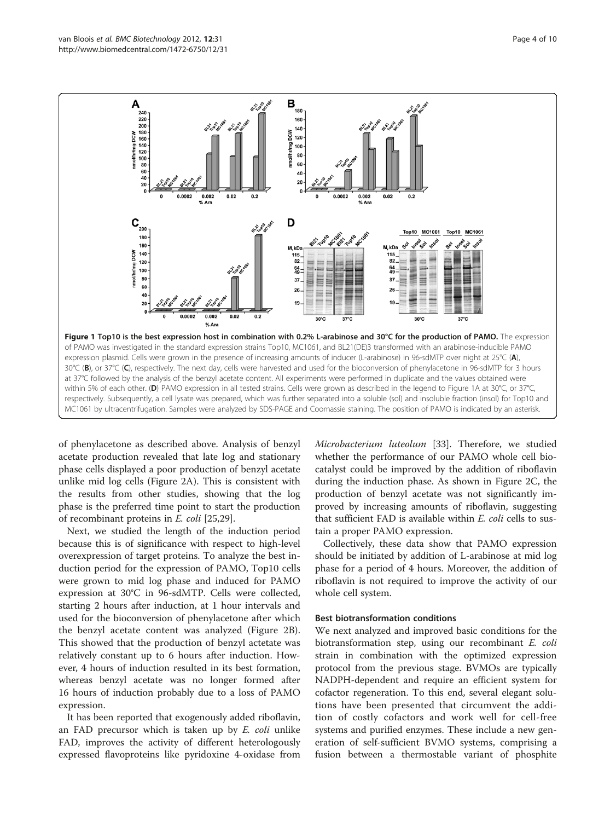<span id="page-3-0"></span>

of phenylacetone as described above. Analysis of benzyl acetate production revealed that late log and stationary phase cells displayed a poor production of benzyl acetate unlike mid log cells (Figure [2A](#page-4-0)). This is consistent with the results from other studies, showing that the log phase is the preferred time point to start the production of recombinant proteins in E. coli [[25](#page-8-0)[,29](#page-9-0)].

Next, we studied the length of the induction period because this is of significance with respect to high-level overexpression of target proteins. To analyze the best induction period for the expression of PAMO, Top10 cells were grown to mid log phase and induced for PAMO expression at 30°C in 96-sdMTP. Cells were collected, starting 2 hours after induction, at 1 hour intervals and used for the bioconversion of phenylacetone after which the benzyl acetate content was analyzed (Figure [2B](#page-4-0)). This showed that the production of benzyl actetate was relatively constant up to 6 hours after induction. However, 4 hours of induction resulted in its best formation, whereas benzyl acetate was no longer formed after 16 hours of induction probably due to a loss of PAMO expression.

It has been reported that exogenously added riboflavin, an FAD precursor which is taken up by E. coli unlike FAD, improves the activity of different heterologously expressed flavoproteins like pyridoxine 4-oxidase from Microbacterium luteolum [[33](#page-9-0)]. Therefore, we studied whether the performance of our PAMO whole cell biocatalyst could be improved by the addition of riboflavin during the induction phase. As shown in Figure [2C](#page-4-0), the production of benzyl acetate was not significantly improved by increasing amounts of riboflavin, suggesting that sufficient FAD is available within E. coli cells to sustain a proper PAMO expression.

Collectively, these data show that PAMO expression should be initiated by addition of L-arabinose at mid log phase for a period of 4 hours. Moreover, the addition of riboflavin is not required to improve the activity of our whole cell system.

#### Best biotransformation conditions

We next analyzed and improved basic conditions for the biotransformation step, using our recombinant E. coli strain in combination with the optimized expression protocol from the previous stage. BVMOs are typically NADPH-dependent and require an efficient system for cofactor regeneration. To this end, several elegant solutions have been presented that circumvent the addition of costly cofactors and work well for cell-free systems and purified enzymes. These include a new generation of self-sufficient BVMO systems, comprising a fusion between a thermostable variant of phosphite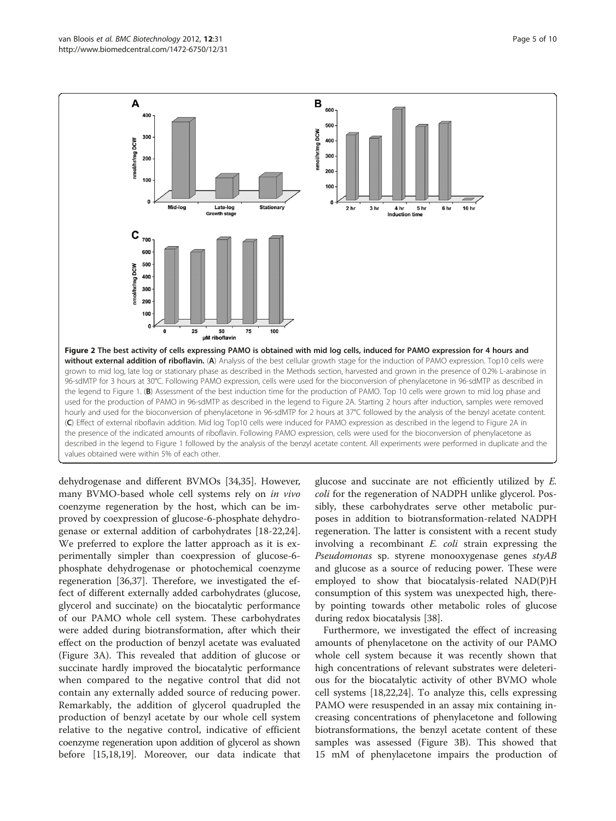<span id="page-4-0"></span>

dehydrogenase and different BVMOs [[34,35\]](#page-9-0). However, many BVMO-based whole cell systems rely on in vivo coenzyme regeneration by the host, which can be improved by coexpression of glucose-6-phosphate dehydrogenase or external addition of carbohydrates [\[18-22,24](#page-8-0)]. We preferred to explore the latter approach as it is experimentally simpler than coexpression of glucose-6 phosphate dehydrogenase or photochemical coenzyme regeneration [[36](#page-9-0),[37](#page-9-0)]. Therefore, we investigated the effect of different externally added carbohydrates (glucose, glycerol and succinate) on the biocatalytic performance of our PAMO whole cell system. These carbohydrates were added during biotransformation, after which their effect on the production of benzyl acetate was evaluated (Figure [3A](#page-5-0)). This revealed that addition of glucose or succinate hardly improved the biocatalytic performance when compared to the negative control that did not contain any externally added source of reducing power. Remarkably, the addition of glycerol quadrupled the production of benzyl acetate by our whole cell system relative to the negative control, indicative of efficient coenzyme regeneration upon addition of glycerol as shown before [[15,18,19\]](#page-8-0). Moreover, our data indicate that

glucose and succinate are not efficiently utilized by E. coli for the regeneration of NADPH unlike glycerol. Possibly, these carbohydrates serve other metabolic purposes in addition to biotransformation-related NADPH regeneration. The latter is consistent with a recent study involving a recombinant E. coli strain expressing the Pseudomonas sp. styrene monooxygenase genes styAB and glucose as a source of reducing power. These were employed to show that biocatalysis-related NAD(P)H consumption of this system was unexpected high, thereby pointing towards other metabolic roles of glucose during redox biocatalysis [\[38\]](#page-9-0).

Furthermore, we investigated the effect of increasing amounts of phenylacetone on the activity of our PAMO whole cell system because it was recently shown that high concentrations of relevant substrates were deleterious for the biocatalytic activity of other BVMO whole cell systems [\[18,22,24\]](#page-8-0). To analyze this, cells expressing PAMO were resuspended in an assay mix containing increasing concentrations of phenylacetone and following biotransformations, the benzyl acetate content of these samples was assessed (Figure [3B](#page-5-0)). This showed that 15 mM of phenylacetone impairs the production of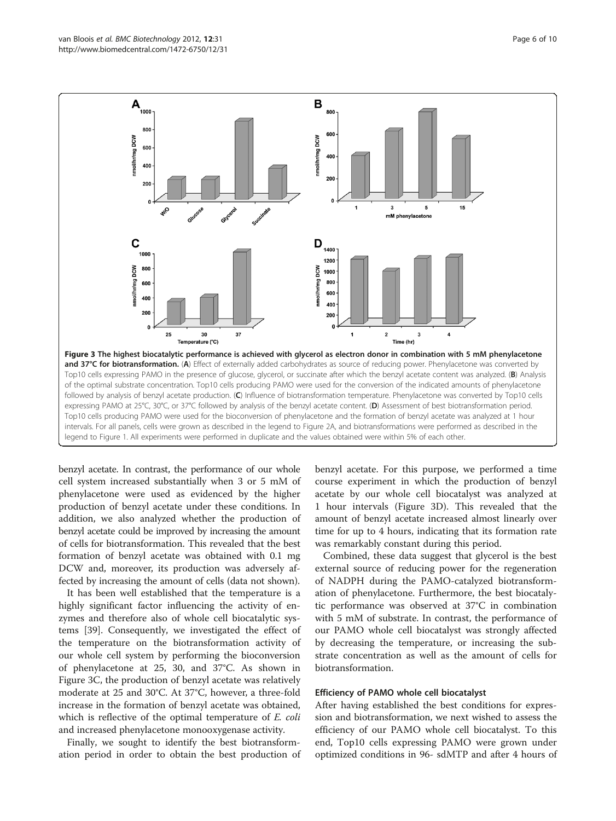<span id="page-5-0"></span>

benzyl acetate. In contrast, the performance of our whole cell system increased substantially when 3 or 5 mM of phenylacetone were used as evidenced by the higher production of benzyl acetate under these conditions. In addition, we also analyzed whether the production of benzyl acetate could be improved by increasing the amount of cells for biotransformation. This revealed that the best formation of benzyl acetate was obtained with 0.1 mg DCW and, moreover, its production was adversely affected by increasing the amount of cells (data not shown).

It has been well established that the temperature is a highly significant factor influencing the activity of enzymes and therefore also of whole cell biocatalytic systems [\[39](#page-9-0)]. Consequently, we investigated the effect of the temperature on the biotransformation activity of our whole cell system by performing the bioconversion of phenylacetone at 25, 30, and 37°C. As shown in Figure 3C, the production of benzyl acetate was relatively moderate at 25 and 30°C. At 37°C, however, a three-fold increase in the formation of benzyl acetate was obtained, which is reflective of the optimal temperature of E. coli and increased phenylacetone monooxygenase activity.

Finally, we sought to identify the best biotransformation period in order to obtain the best production of benzyl acetate. For this purpose, we performed a time course experiment in which the production of benzyl acetate by our whole cell biocatalyst was analyzed at 1 hour intervals (Figure 3D). This revealed that the amount of benzyl acetate increased almost linearly over time for up to 4 hours, indicating that its formation rate was remarkably constant during this period.

Combined, these data suggest that glycerol is the best external source of reducing power for the regeneration of NADPH during the PAMO-catalyzed biotransformation of phenylacetone. Furthermore, the best biocatalytic performance was observed at 37°C in combination with 5 mM of substrate. In contrast, the performance of our PAMO whole cell biocatalyst was strongly affected by decreasing the temperature, or increasing the substrate concentration as well as the amount of cells for biotransformation.

### Efficiency of PAMO whole cell biocatalyst

After having established the best conditions for expression and biotransformation, we next wished to assess the efficiency of our PAMO whole cell biocatalyst. To this end, Top10 cells expressing PAMO were grown under optimized conditions in 96- sdMTP and after 4 hours of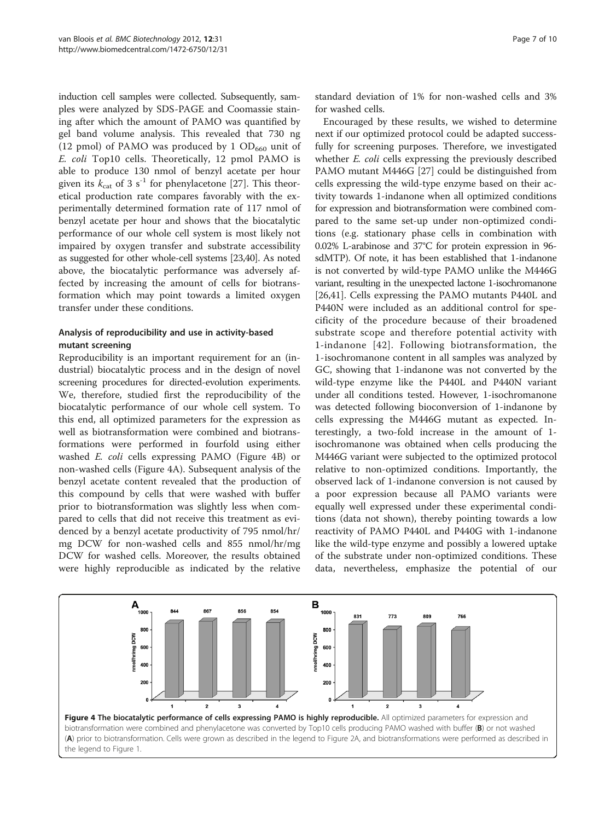induction cell samples were collected. Subsequently, samples were analyzed by SDS-PAGE and Coomassie staining after which the amount of PAMO was quantified by gel band volume analysis. This revealed that 730 ng (12 pmol) of PAMO was produced by 1  $OD_{660}$  unit of E. coli Top10 cells. Theoretically, 12 pmol PAMO is able to produce 130 nmol of benzyl acetate per hour given its  $k_{\text{cat}}$  of 3 s<sup>-1</sup> for phenylacetone [\[27](#page-9-0)]. This theoretical production rate compares favorably with the experimentally determined formation rate of 117 nmol of benzyl acetate per hour and shows that the biocatalytic performance of our whole cell system is most likely not impaired by oxygen transfer and substrate accessibility as suggested for other whole-cell systems [[23](#page-8-0)[,40](#page-9-0)]. As noted above, the biocatalytic performance was adversely affected by increasing the amount of cells for biotransformation which may point towards a limited oxygen transfer under these conditions.

# Analysis of reproducibility and use in activity-based mutant screening

Reproducibility is an important requirement for an (industrial) biocatalytic process and in the design of novel screening procedures for directed-evolution experiments. We, therefore, studied first the reproducibility of the biocatalytic performance of our whole cell system. To this end, all optimized parameters for the expression as well as biotransformation were combined and biotransformations were performed in fourfold using either washed E. coli cells expressing PAMO (Figure 4B) or non-washed cells (Figure 4A). Subsequent analysis of the benzyl acetate content revealed that the production of this compound by cells that were washed with buffer prior to biotransformation was slightly less when compared to cells that did not receive this treatment as evidenced by a benzyl acetate productivity of 795 nmol/hr/ mg DCW for non-washed cells and 855 nmol/hr/mg DCW for washed cells. Moreover, the results obtained were highly reproducible as indicated by the relative

standard deviation of 1% for non-washed cells and 3% for washed cells.

Encouraged by these results, we wished to determine next if our optimized protocol could be adapted successfully for screening purposes. Therefore, we investigated whether *E. coli* cells expressing the previously described PAMO mutant M446G [\[27\]](#page-9-0) could be distinguished from cells expressing the wild-type enzyme based on their activity towards 1-indanone when all optimized conditions for expression and biotransformation were combined compared to the same set-up under non-optimized conditions (e.g. stationary phase cells in combination with 0.02% L-arabinose and 37°C for protein expression in 96 sdMTP). Of note, it has been established that 1-indanone is not converted by wild-type PAMO unlike the M446G variant, resulting in the unexpected lactone 1-isochromanone [[26,](#page-8-0)[41\]](#page-9-0). Cells expressing the PAMO mutants P440L and P440N were included as an additional control for specificity of the procedure because of their broadened substrate scope and therefore potential activity with 1-indanone [[42\]](#page-9-0). Following biotransformation, the 1-isochromanone content in all samples was analyzed by GC, showing that 1-indanone was not converted by the wild-type enzyme like the P440L and P440N variant under all conditions tested. However, 1-isochromanone was detected following bioconversion of 1-indanone by cells expressing the M446G mutant as expected. Interestingly, a two-fold increase in the amount of 1 isochromanone was obtained when cells producing the M446G variant were subjected to the optimized protocol relative to non-optimized conditions. Importantly, the observed lack of 1-indanone conversion is not caused by a poor expression because all PAMO variants were equally well expressed under these experimental conditions (data not shown), thereby pointing towards a low reactivity of PAMO P440L and P440G with 1-indanone like the wild-type enzyme and possibly a lowered uptake of the substrate under non-optimized conditions. These data, nevertheless, emphasize the potential of our

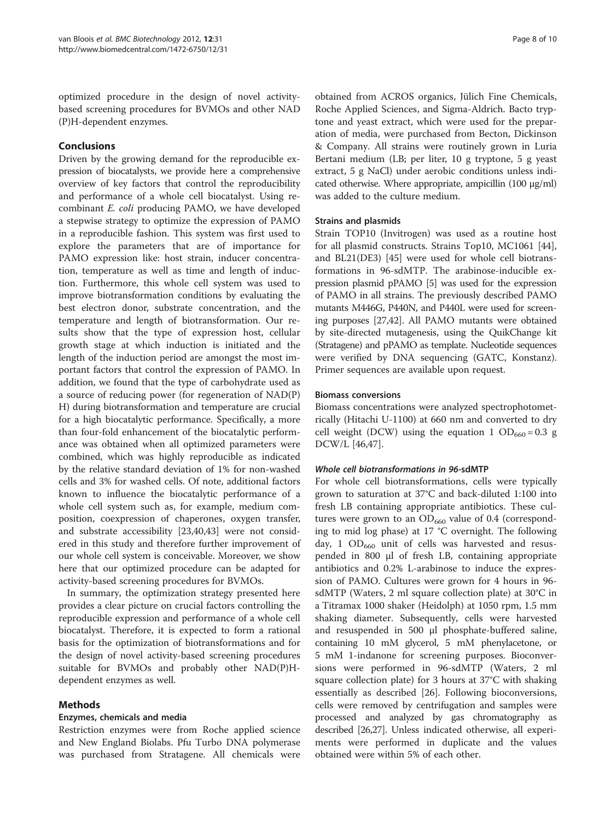optimized procedure in the design of novel activitybased screening procedures for BVMOs and other NAD (P)H-dependent enzymes.

# Conclusions

Driven by the growing demand for the reproducible expression of biocatalysts, we provide here a comprehensive overview of key factors that control the reproducibility and performance of a whole cell biocatalyst. Using recombinant E. coli producing PAMO, we have developed a stepwise strategy to optimize the expression of PAMO in a reproducible fashion. This system was first used to explore the parameters that are of importance for PAMO expression like: host strain, inducer concentration, temperature as well as time and length of induction. Furthermore, this whole cell system was used to improve biotransformation conditions by evaluating the best electron donor, substrate concentration, and the temperature and length of biotransformation. Our results show that the type of expression host, cellular growth stage at which induction is initiated and the length of the induction period are amongst the most important factors that control the expression of PAMO. In addition, we found that the type of carbohydrate used as a source of reducing power (for regeneration of NAD(P) H) during biotransformation and temperature are crucial for a high biocatalytic performance. Specifically, a more than four-fold enhancement of the biocatalytic performance was obtained when all optimized parameters were combined, which was highly reproducible as indicated by the relative standard deviation of 1% for non-washed cells and 3% for washed cells. Of note, additional factors known to influence the biocatalytic performance of a whole cell system such as, for example, medium composition, coexpression of chaperones, oxygen transfer, and substrate accessibility [\[23](#page-8-0)[,40,43\]](#page-9-0) were not considered in this study and therefore further improvement of our whole cell system is conceivable. Moreover, we show here that our optimized procedure can be adapted for activity-based screening procedures for BVMOs.

In summary, the optimization strategy presented here provides a clear picture on crucial factors controlling the reproducible expression and performance of a whole cell biocatalyst. Therefore, it is expected to form a rational basis for the optimization of biotransformations and for the design of novel activity-based screening procedures suitable for BVMOs and probably other NAD(P)Hdependent enzymes as well.

# Methods

#### Enzymes, chemicals and media

Restriction enzymes were from Roche applied science and New England Biolabs. Pfu Turbo DNA polymerase was purchased from Stratagene. All chemicals were

obtained from ACROS organics, Jülich Fine Chemicals, Roche Applied Sciences, and Sigma-Aldrich. Bacto tryptone and yeast extract, which were used for the preparation of media, were purchased from Becton, Dickinson & Company. All strains were routinely grown in Luria Bertani medium (LB; per liter, 10 g tryptone, 5 g yeast extract, 5 g NaCl) under aerobic conditions unless indicated otherwise. Where appropriate, ampicillin (100 μg/ml) was added to the culture medium.

#### Strains and plasmids

Strain TOP10 (Invitrogen) was used as a routine host for all plasmid constructs. Strains Top10, MC1061 [\[44](#page-9-0)], and BL21(DE3) [\[45\]](#page-9-0) were used for whole cell biotransformations in 96-sdMTP. The arabinose-inducible expression plasmid pPAMO [\[5\]](#page-8-0) was used for the expression of PAMO in all strains. The previously described PAMO mutants M446G, P440N, and P440L were used for screening purposes [\[27,42\]](#page-9-0). All PAMO mutants were obtained by site-directed mutagenesis, using the QuikChange kit (Stratagene) and pPAMO as template. Nucleotide sequences were verified by DNA sequencing (GATC, Konstanz). Primer sequences are available upon request.

#### Biomass conversions

Biomass concentrations were analyzed spectrophotometrically (Hitachi U-1100) at 660 nm and converted to dry cell weight (DCW) using the equation 1 OD<sub>660</sub> = 0.3 g DCW/L [[46,47\]](#page-9-0).

#### Whole cell biotransformations in 96-sdMTP

For whole cell biotransformations, cells were typically grown to saturation at 37°C and back-diluted 1:100 into fresh LB containing appropriate antibiotics. These cultures were grown to an  $OD_{660}$  value of 0.4 (corresponding to mid log phase) at 17 °C overnight. The following day, 1  $OD_{660}$  unit of cells was harvested and resuspended in 800 μl of fresh LB, containing appropriate antibiotics and 0.2% L-arabinose to induce the expression of PAMO. Cultures were grown for 4 hours in 96 sdMTP (Waters, 2 ml square collection plate) at 30°C in a Titramax 1000 shaker (Heidolph) at 1050 rpm, 1.5 mm shaking diameter. Subsequently, cells were harvested and resuspended in 500 μl phosphate-buffered saline, containing 10 mM glycerol, 5 mM phenylacetone, or 5 mM 1-indanone for screening purposes. Bioconversions were performed in 96-sdMTP (Waters, 2 ml square collection plate) for 3 hours at 37°C with shaking essentially as described [[26](#page-8-0)]. Following bioconversions, cells were removed by centrifugation and samples were processed and analyzed by gas chromatography as described [[26](#page-8-0)[,27\]](#page-9-0). Unless indicated otherwise, all experiments were performed in duplicate and the values obtained were within 5% of each other.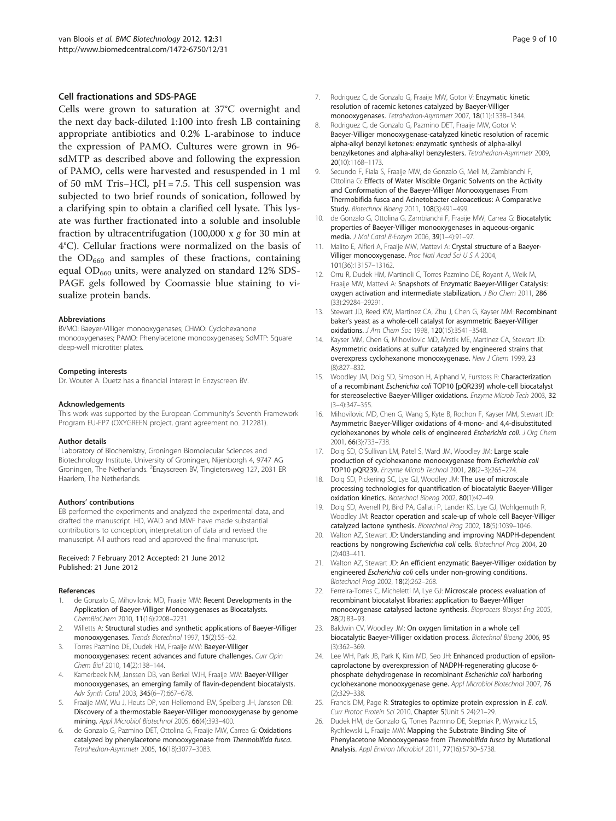#### <span id="page-8-0"></span>Cell fractionations and SDS-PAGE

Cells were grown to saturation at 37°C overnight and the next day back-diluted 1:100 into fresh LB containing appropriate antibiotics and 0.2% L-arabinose to induce the expression of PAMO. Cultures were grown in 96 sdMTP as described above and following the expression of PAMO, cells were harvested and resuspended in 1 ml of 50 mM Tris–HCl, pH = 7.5. This cell suspension was subjected to two brief rounds of sonication, followed by a clarifying spin to obtain a clarified cell lysate. This lysate was further fractionated into a soluble and insoluble fraction by ultracentrifugation (100,000 x  $g$  for 30 min at 4°C). Cellular fractions were normalized on the basis of the  $OD_{660}$  and samples of these fractions, containing equal  $OD_{660}$  units, were analyzed on standard 12% SDS-PAGE gels followed by Coomassie blue staining to visualize protein bands.

#### Abbreviations

BVMO: Baeyer-Villiger monooxygenases; CHMO: Cyclohexanone monooxygenases; PAMO: Phenylacetone monooxygenases; SdMTP: Square deep-well microtiter plates.

#### Competing interests

Dr. Wouter A. Duetz has a financial interest in Enzyscreen BV.

#### Acknowledgements

This work was supported by the European Community's Seventh Framework Program EU-FP7 (OXYGREEN project, grant agreement no. 212281).

#### Author details

<sup>1</sup> Laboratory of Biochemistry, Groningen Biomolecular Sciences and Biotechnology Institute, University of Groningen, Nijenborgh 4, 9747 AG Groningen, The Netherlands. <sup>2</sup>Enzyscreen BV, Tingietersweg 127, 2031 ER Haarlem, The Netherlands.

#### Authors' contributions

EB performed the experiments and analyzed the experimental data, and drafted the manuscript. HD, WAD and MWF have made substantial contributions to conception, interpretation of data and revised the manuscript. All authors read and approved the final manuscript.

#### Received: 7 February 2012 Accepted: 21 June 2012 Published: 21 June 2012

#### References

- de Gonzalo G, Mihovilovic MD, Fraaije MW: Recent Developments in the Application of Baeyer-Villiger Monooxygenases as Biocatalysts. ChemBioChem 2010, 11(16):2208–2231.
- Willetts A: Structural studies and synthetic applications of Baeyer-Villiger monooxygenases. Trends Biotechnol 1997, 15(2):55–62.
- 3. Torres Pazmino DE, Dudek HM, Fraaije MW: Baeyer-Villiger monooxygenases: recent advances and future challenges. Curr Opin Chem Biol 2010, 14(2):138–144.
- 4. Kamerbeek NM, Janssen DB, van Berkel WJH, Fraaije MW: Baeyer-Villiger monooxygenases, an emerging family of flavin-dependent biocatalysts. Adv Synth Catal 2003, 345(6–7):667–678.
- 5. Fraaije MW, Wu J, Heuts DP, van Hellemond EW, Spelberg JH, Janssen DB: Discovery of a thermostable Baeyer-Villiger monooxygenase by genome mining. Appl Microbiol Biotechnol 2005, 66(4):393–400.
- de Gonzalo G, Pazmino DET, Ottolina G, Fraaije MW, Carrea G: Oxidations catalyzed by phenylacetone monooxygenase from Thermobifida fusca. Tetrahedron-Asymmetr 2005, 16(18):3077–3083.
- 7. Rodriguez C, de Gonzalo G, Fraaije MW, Gotor V: Enzymatic kinetic resolution of racemic ketones catalyzed by Baeyer-Villiger monooxygenases. Tetrahedron-Asymmetr 2007, 18(11):1338–1344.
- 8. Rodriguez C, de Gonzalo G, Pazmino DET, Fraaije MW, Gotor V: Baeyer-Villiger monooxygenase-catalyzed kinetic resolution of racemic alpha-alkyl benzyl ketones: enzymatic synthesis of alpha-alkyl benzylketones and alpha-alkyl benzylesters. Tetrahedron-Asymmetr 2009, 20(10):1168–1173.
- 9. Secundo F, Fiala S, Fraaije MW, de Gonzalo G, Meli M, Zambianchi F, Ottolina G: Effects of Water Miscible Organic Solvents on the Activity and Conformation of the Baeyer-Villiger Monooxygenases From Thermobifida fusca and Acinetobacter calcoaceticus: A Comparative Study. Biotechnol Bioeng 2011, 108(3):491–499.
- 10. de Gonzalo G, Ottolina G, Zambianchi F, Fraaije MW, Carrea G: Biocatalytic properties of Baeyer-Villiger monooxygenases in aqueous-organic media. J Mol Catal B-Enzym 2006, 39(1–4):91–97.
- 11. Malito E, Alfieri A, Fraaije MW, Mattevi A: Crystal structure of a Baeyer-Villiger monooxygenase. Proc Natl Acad Sci U S A 2004, 101(36):13157–13162.
- 12. Orru R, Dudek HM, Martinoli C, Torres Pazmino DE, Royant A, Weik M, Fraaije MW, Mattevi A: Snapshots of Enzymatic Baeyer-Villiger Catalysis: oxygen activation and intermediate stabilization. J Bio Chem 2011, 286 (33):29284–29291.
- 13. Stewart JD, Reed KW, Martinez CA, Zhu J, Chen G, Kayser MM: Recombinant baker's yeast as a whole-cell catalyst for asymmetric Baeyer-Villiger oxidations. J Am Chem Soc 1998, 120(15):3541–3548.
- 14. Kayser MM, Chen G, Mihovilovic MD, Mrstik ME, Martinez CA, Stewart JD: Asymmetric oxidations at sulfur catalyzed by engineered strains that overexpress cyclohexanone monooxygenase. New J Chem 1999, 23 (8):827–832.
- 15. Woodley JM, Doig SD, Simpson H, Alphand V, Furstoss R: Characterization of a recombinant Escherichia coli TOP10 [pQR239] whole-cell biocatalyst for stereoselective Baeyer-Villiger oxidations. Enzyme Microb Tech 2003, 32 (3–4):347–355.
- 16. Mihovilovic MD, Chen G, Wang S, Kyte B, Rochon F, Kayser MM, Stewart JD: Asymmetric Baeyer-Villiger oxidations of 4-mono- and 4,4-disubstituted cyclohexanones by whole cells of engineered Escherichia coli. J Org Chem 2001, 66(3):733–738.
- 17. Doig SD, O'Sullivan LM, Patel S, Ward JM, Woodley JM: Large scale production of cyclohexanone monooxygenase from Escherichia coli TOP10 pQR239. Enzyme Microb Technol 2001, 28(2–3):265–274.
- 18. Doig SD, Pickering SC, Lye GJ, Woodley JM: The use of microscale processing technologies for quantification of biocatalytic Baeyer-Villiger oxidation kinetics. Biotechnol Bioeng 2002, 80(1):42–49.
- 19. Doig SD, Avenell PJ, Bird PA, Gallati P, Lander KS, Lye GJ, Wohlgemuth R, Woodley JM: Reactor operation and scale-up of whole cell Baeyer-Villiger catalyzed lactone synthesis. Biotechnol Prog 2002, 18(5):1039–1046.
- 20. Walton AZ, Stewart JD: Understanding and improving NADPH-dependent reactions by nongrowing Escherichia coli cells. Biotechnol Prog 2004, 20 (2):403–411.
- 21. Walton AZ, Stewart JD: An efficient enzymatic Baeyer-Villiger oxidation by engineered Escherichia coli cells under non-growing conditions. Biotechnol Prog 2002, 18(2):262–268.
- 22. Ferreira-Torres C, Micheletti M, Lye GJ: Microscale process evaluation of recombinant biocatalyst libraries: application to Baeyer-Villiger monooxygenase catalysed lactone synthesis. Bioprocess Biosyst Eng 2005, 28(2):83–93.
- 23. Baldwin CV, Woodley JM: On oxygen limitation in a whole cell biocatalytic Baeyer-Villiger oxidation process. Biotechnol Bioeng 2006, 95 (3):362–369.
- 24. Lee WH, Park JB, Park K, Kim MD, Seo JH: Enhanced production of epsiloncaprolactone by overexpression of NADPH-regenerating glucose 6 phosphate dehydrogenase in recombinant Escherichia coli harboring cyclohexanone monooxygenase gene. Appl Microbiol Biotechnol 2007, 76 (2):329–338.
- 25. Francis DM, Page R: Strategies to optimize protein expression in E. coli. Curr Protoc Protein Sci 2010, Chapter 5(Unit 5 24):21–29.
- 26. Dudek HM, de Gonzalo G, Torres Pazmino DE, Stepniak P, Wyrwicz LS, Rychlewski L, Fraaije MW: Mapping the Substrate Binding Site of Phenylacetone Monooxygenase from Thermobifida fusca by Mutational Analysis. Appl Environ Microbiol 2011, 77(16):5730–5738.